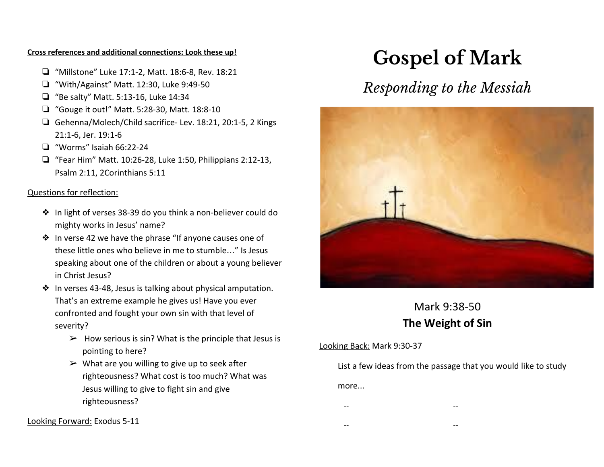#### **Cross references and additional connections: Look these up!**

- ❏ "Millstone" Luke 17:1-2, Matt. 18:6-8, Rev. 18:21
- ❏ "With/Against" Matt. 12:30, Luke 9:49-50
- ❏ "Be salty" Matt. 5:13-16, Luke 14:34
- ❏ "Gouge it out!" Matt. 5:28-30, Matt. 18:8-10
- ❏ Gehenna/Molech/Child sacrifice- Lev. 18:21, 20:1-5, 2 Kings 21:1-6, Jer. 19:1-6
- ❏ "Worms" Isaiah 66:22-24
- ❏ "Fear Him" Matt. 10:26-28, Luke 1:50, Philippians 2:12-13, Psalm 2:11, 2Corinthians 5:11

#### Questions for reflection:

- ❖ In light of verses 38-39 do you think a non-believer could do mighty works in Jesus' name?
- ❖ In verse 42 we have the phrase "If anyone causes one of these little ones who believe in me to stumble…" Is Jesus speaking about one of the children or about a young believer in Christ Jesus?
- ❖ In verses 43-48, Jesus is talking about physical amputation. That's an extreme example he gives us! Have you ever confronted and fought your own sin with that level of severity?
	- $\triangleright$  How serious is sin? What is the principle that Jesus is pointing to here?
	- $\triangleright$  What are you willing to give up to seek after righteousness? What cost is too much? What was Jesus willing to give to fight sin and give righteousness?

Looking Forward: Exodus 5-11

# **Gospel of Mark**

## *Responding to the Messiah*



### Mark 9:38-50 **The Weight of Sin**

#### Looking Back: Mark 9:30-37

 List a few ideas from the passage that you would like to study more...

- -- --
- -- --